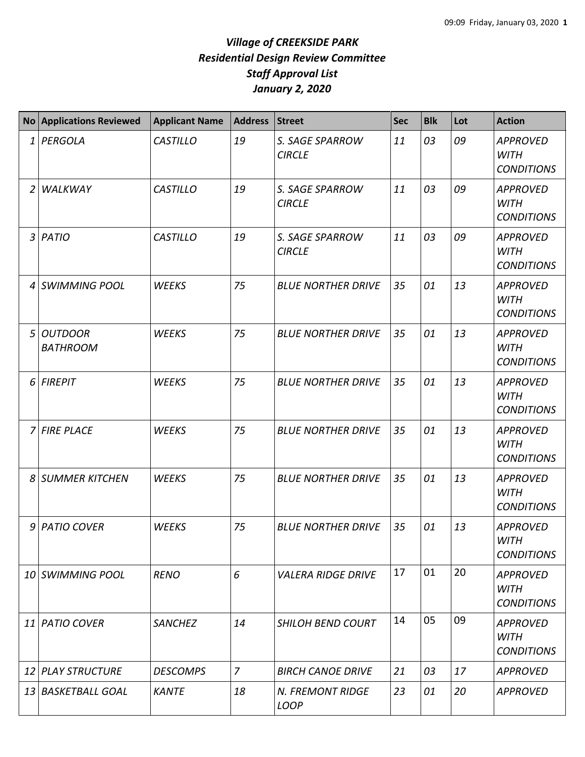## *Village of CREEKSIDE PARK Residential Design Review Committee Staff Approval List January 2, 2020*

|                | No Applications Reviewed          | <b>Applicant Name</b> | Address        | <b>Street</b>                          | <b>Sec</b> | <b>Blk</b> | Lot | <b>Action</b>                                       |
|----------------|-----------------------------------|-----------------------|----------------|----------------------------------------|------------|------------|-----|-----------------------------------------------------|
| 1              | PERGOLA                           | <b>CASTILLO</b>       | 19             | S. SAGE SPARROW<br><b>CIRCLE</b>       | 11         | 03         | 09  | <b>APPROVED</b><br><b>WITH</b><br><b>CONDITIONS</b> |
| $\overline{2}$ | WALKWAY                           | <b>CASTILLO</b>       | 19             | S. SAGE SPARROW<br><b>CIRCLE</b>       | 11         | 03         | 09  | <b>APPROVED</b><br><b>WITH</b><br><b>CONDITIONS</b> |
| 3              | PATIO                             | <b>CASTILLO</b>       | 19             | S. SAGE SPARROW<br><b>CIRCLE</b>       | 11         | 03         | 09  | <b>APPROVED</b><br><b>WITH</b><br><b>CONDITIONS</b> |
| 4              | <b>SWIMMING POOL</b>              | <b>WEEKS</b>          | 75             | <b>BLUE NORTHER DRIVE</b>              | 35         | 01         | 13  | <b>APPROVED</b><br><b>WITH</b><br><b>CONDITIONS</b> |
| 5              | <b>OUTDOOR</b><br><b>BATHROOM</b> | <b>WEEKS</b>          | 75             | <b>BLUE NORTHER DRIVE</b>              | 35         | 01         | 13  | <b>APPROVED</b><br><b>WITH</b><br><b>CONDITIONS</b> |
| 6              | <b>FIREPIT</b>                    | <b>WEEKS</b>          | 75             | <b>BLUE NORTHER DRIVE</b>              | 35         | 01         | 13  | <b>APPROVED</b><br><b>WITH</b><br><b>CONDITIONS</b> |
| 7              | <b>FIRE PLACE</b>                 | <b>WEEKS</b>          | 75             | <b>BLUE NORTHER DRIVE</b>              | 35         | 01         | 13  | <b>APPROVED</b><br><b>WITH</b><br><b>CONDITIONS</b> |
| 8              | <b>SUMMER KITCHEN</b>             | <b>WEEKS</b>          | 75             | <b>BLUE NORTHER DRIVE</b>              | 35         | 01         | 13  | <b>APPROVED</b><br><b>WITH</b><br><b>CONDITIONS</b> |
| 9              | <b>PATIO COVER</b>                | <b>WEEKS</b>          | 75             | <b>BLUE NORTHER DRIVE</b>              | 35         | 01         | 13  | <b>APPROVED</b><br><b>WITH</b><br><b>CONDITIONS</b> |
|                | 10 SWIMMING POOL                  | <b>RENO</b>           | 6              | <b>VALERA RIDGE DRIVE</b>              | 17         | 01         | 20  | <b>APPROVED</b><br><b>WITH</b><br><b>CONDITIONS</b> |
|                | 11 PATIO COVER                    | <b>SANCHEZ</b>        | 14             | <b>SHILOH BEND COURT</b>               | 14         | 05         | 09  | <b>APPROVED</b><br><b>WITH</b><br><b>CONDITIONS</b> |
| 12             | <b>PLAY STRUCTURE</b>             | <b>DESCOMPS</b>       | $\overline{7}$ | <b>BIRCH CANOE DRIVE</b>               | 21         | 03         | 17  | <b>APPROVED</b>                                     |
|                | 13 BASKETBALL GOAL                | <b>KANTE</b>          | 18             | <b>N. FREMONT RIDGE</b><br><b>LOOP</b> | 23         | 01         | 20  | <b>APPROVED</b>                                     |